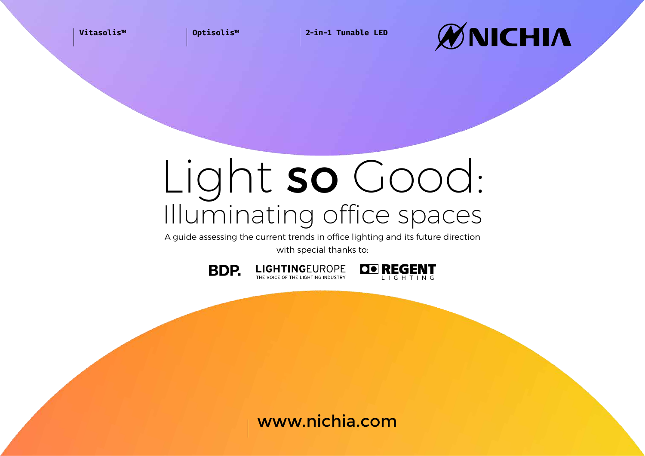**Vitasolis™ Optisolis™ 2-in-1 Tunable LED**



# Light so Good: Illuminating office spaces

A guide assessing the current trends in office lighting and its future direction with special thanks to:





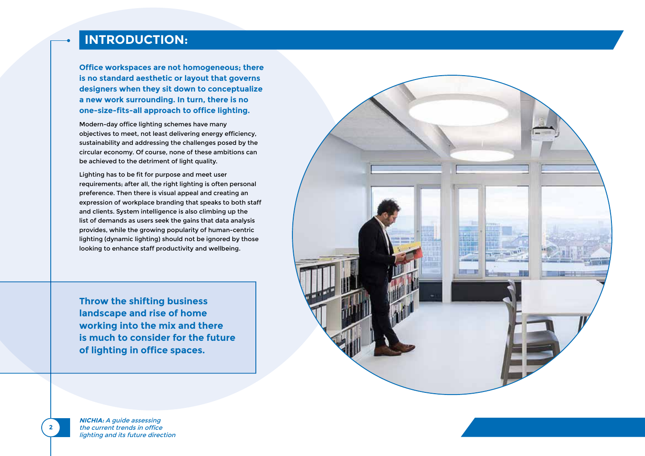# **INTRODUCTION:**

**Office workspaces are not homogeneous; there is no standard aesthetic or layout that governs designers when they sit down to conceptualize a new work surrounding. In turn, there is no one-size-fits-all approach to office lighting.** 

Modern-day office lighting schemes have many objectives to meet, not least delivering energy efficiency, sustainability and addressing the challenges posed by the circular economy. Of course, none of these ambitions can be achieved to the detriment of light quality.

Lighting has to be fit for purpose and meet user requirements; after all, the right lighting is often personal preference. Then there is visual appeal and creating an expression of workplace branding that speaks to both staff and clients. System intelligence is also climbing up the list of demands as users seek the gains that data analysis provides, while the growing popularity of human-centric lighting (dynamic lighting) should not be ignored by those looking to enhance staff productivity and wellbeing.

**Throw the shifting business landscape and rise of home working into the mix and there is much to consider for the future of lighting in office spaces.**



**NICHIA:** A guide assessing the current trends in office lighting and its future direction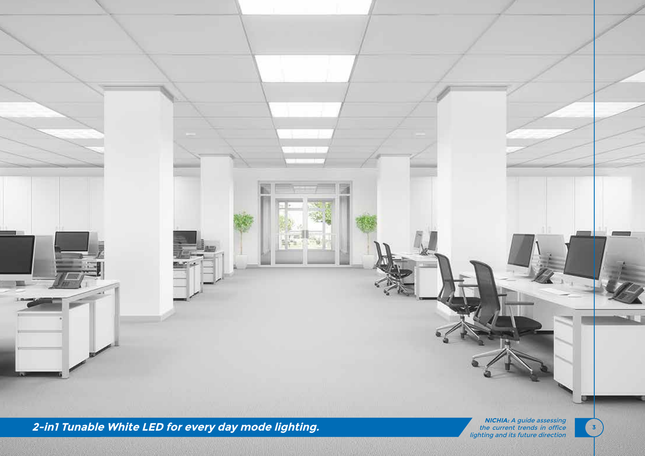

**2-in1 Tunable White LED for every day mode lighting.**

**NICHIA:** A guide assessing the current trends in office lighting and its future direction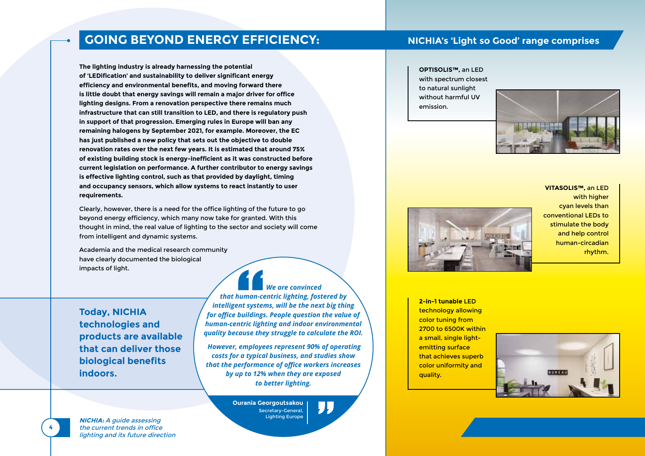#### **GOING BEYOND ENERGY EFFICIENCY:**

**The lighting industry is already harnessing the potential of 'LEDification' and sustainability to deliver significant energy efficiency and environmental benefits, and moving forward there is little doubt that energy savings will remain a major driver for office lighting designs. From a renovation perspective there remains much infrastructure that can still transition to LED, and there is regulatory push in support of that progression. Emerging rules in Europe will ban any remaining halogens by September 2021, for example. Moreover, the EC has just published a new policy that sets out the objective to double renovation rates over the next few years. It is estimated that around 75% of existing building stock is energy-inefficient as it was constructed before current legislation on performance. A further contributor to energy savings is effective lighting control, such as that provided by daylight, timing and occupancy sensors, which allow systems to react instantly to user requirements.**

Clearly, however, there is a need for the office lighting of the future to go beyond energy efficiency, which many now take for granted. With this thought in mind, the real value of lighting to the sector and society will come from intelligent and dynamic systems.

Academia and the medical research community have clearly documented the biological impacts of light.

**Today, NICHIA technologies and products are available that can deliver those biological benefits indoors.** 

 *We are convinced that human-centric lighting, fostered by intelligent systems, will be the next big thing for office buildings. People question the value of human-centric lighting and indoor environmental quality because they struggle to calculate the ROI.*

 *However, employees represent 90% of operating costs for a typical business, and studies show that the performance of office workers increases by up to 12% when they are exposed to better lighting.*

> **Ourania Georgoutsakou** Secretary-General, Lighting Europe

#### **NICHIA's 'Light so Good' range comprises**

#### **OPTISOLIS™,** an LED with spectrum closest to natural sunlight without harmful UV

emission.





**VITASOLIS™,** an LED with higher cyan levels than conventional LEDs to stimulate the body and help control human-circadian rhythm.

**2-in-1 tunable** LED technology allowing color tuning from 2700 to 6500K within a small, single lightemitting surface that achieves superb color uniformity and quality.



**NICHIA:** A guide assessing the current trends in office lighting and its future direction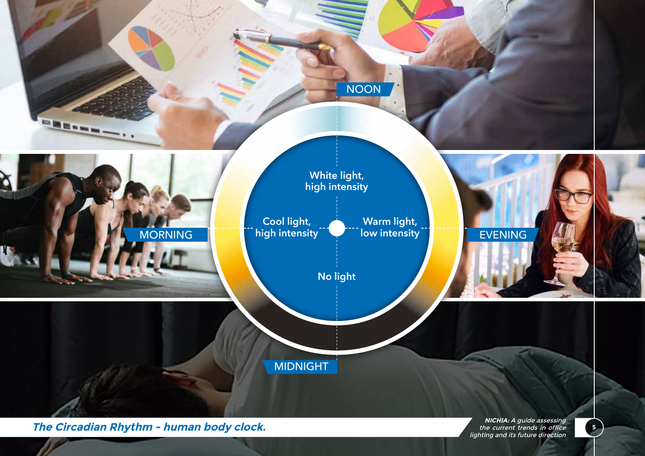

**The Circadian Rhythm - human body clock.**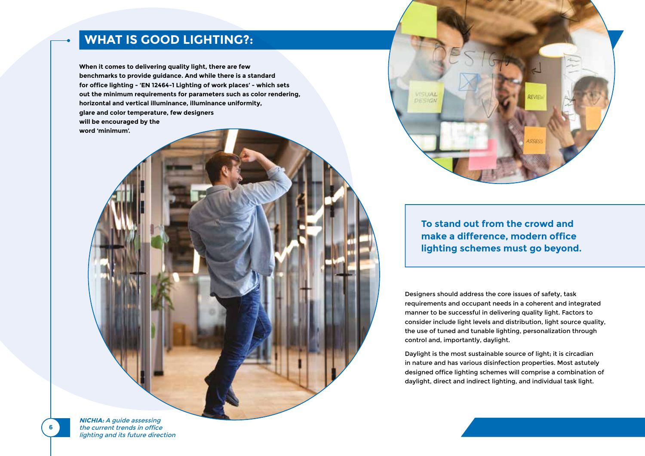### **WHAT IS GOOD LIGHTING?:**

**When it comes to delivering quality light, there are few benchmarks to provide guidance. And while there is a standard for office lighting - 'EN 12464-1 Lighting of work places' - which sets out the minimum requirements for parameters such as color rendering, horizontal and vertical illuminance, illuminance uniformity, glare and color temperature, few designers will be encouraged by the word 'minimum'.** 

> **To stand out from the crowd and make a difference, modern office lighting schemes must go beyond.**

VISUAL DESIGN

Designers should address the core issues of safety, task requirements and occupant needs in a coherent and integrated manner to be successful in delivering quality light. Factors to consider include light levels and distribution, light source quality, the use of tuned and tunable lighting, personalization through control and, importantly, daylight.

Daylight is the most sustainable source of light; it is circadian in nature and has various disinfection properties. Most astutely designed office lighting schemes will comprise a combination of daylight, direct and indirect lighting, and individual task light.

**NICHIA:** A guide assessing the current trends in office lighting and its future direction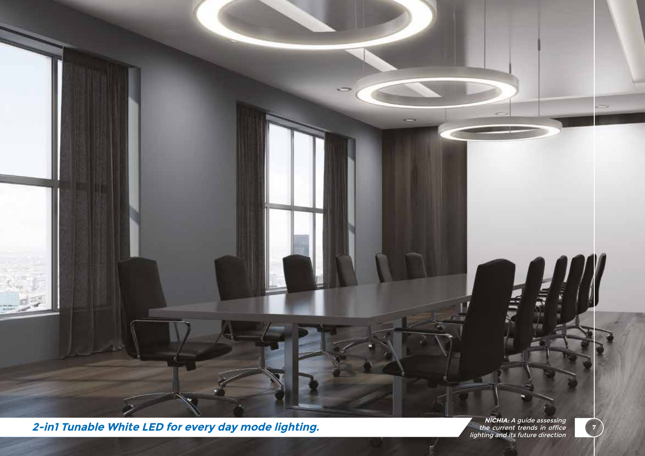

**2-in1 Tunable White LED for every day mode lighting.**

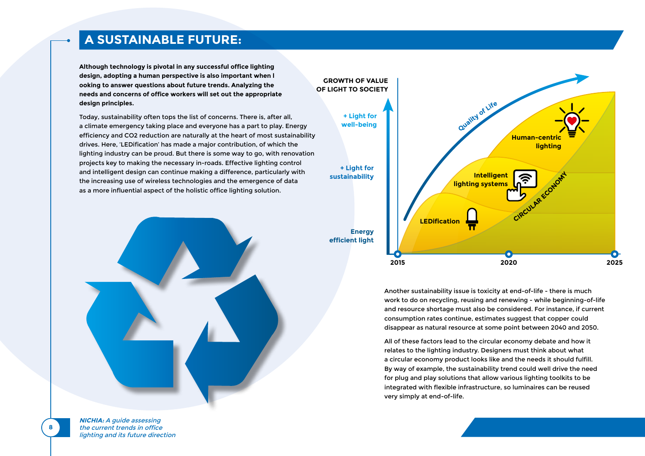## **A SUSTAINABLE FUTURE:**

**Although technology is pivotal in any successful office lighting design, adopting a human perspective is also important when l ooking to answer questions about future trends. Analyzing the needs and concerns of office workers will set out the appropriate design principles.**

Today, sustainability often tops the list of concerns. There is, after all, a climate emergency taking place and everyone has a part to play. Energy efficiency and CO2 reduction are naturally at the heart of most sustainability drives. Here, 'LEDification' has made a major contribution, of which the lighting industry can be proud. But there is some way to go, with renovation projects key to making the necessary in-roads. Effective lighting control and intelligent design can continue making a difference, particularly with the increasing use of wireless technologies and the emergence of data as a more influential aspect of the holistic office lighting solution.





Another sustainability issue is toxicity at end-of-life - there is much work to do on recycling, reusing and renewing - while beginning-of-life and resource shortage must also be considered. For instance, if current consumption rates continue, estimates suggest that copper could disappear as natural resource at some point between 2040 and 2050.

All of these factors lead to the circular economy debate and how it relates to the lighting industry. Designers must think about what a circular economy product looks like and the needs it should fulfill. By way of example, the sustainability trend could well drive the need for plug and play solutions that allow various lighting toolkits to be integrated with flexible infrastructure, so luminaires can be reused very simply at end-of-life.

**NICHIA:** A guide assessing the current trends in office lighting and its future direction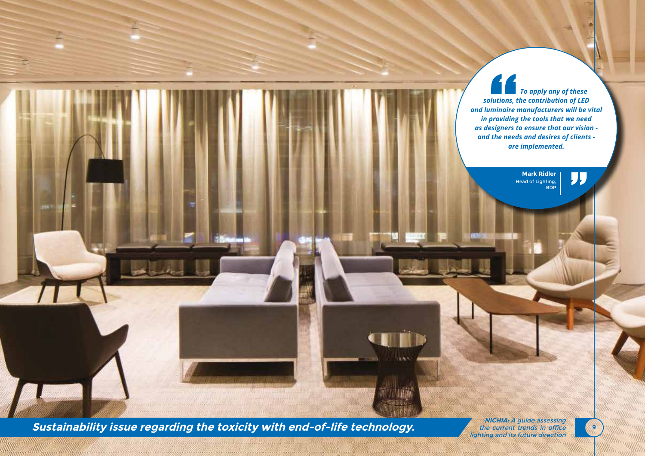*To apply any of these solutions, the contribution of LED and luminaire manufacturers will be vital in providing the tools that we need as designers to ensure that our vision and the needs and desires of clients are implemented.*

> **Mark Ridler** Head of Lighting, BDP

"

**Sustainability issue regarding the toxicity with end-of-life technology.**

mmstillinmmstill

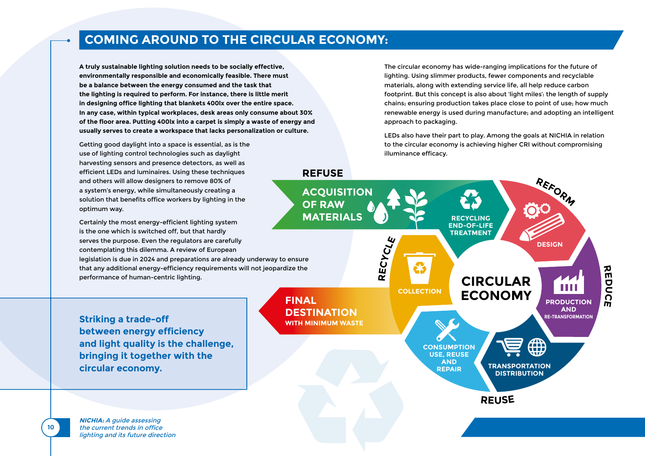## **COMING AROUND TO THE CIRCULAR ECONOMY:**

**A truly sustainable lighting solution needs to be socially effective, environmentally responsible and economically feasible. There must be a balance between the energy consumed and the task that the lighting is required to perform. For instance, there is little merit in designing office lighting that blankets 400lx over the entire space. In any case, within typical workplaces, desk areas only consume about 30% of the floor area. Putting 400lx into a carpet is simply a waste of energy and usually serves to create a workspace that lacks personalization or culture.**

Getting good daylight into a space is essential, as is the use of lighting control technologies such as daylight harvesting sensors and presence detectors, as well as efficient LEDs and luminaires. Using these techniques and others will allow designers to remove 80% of a system's energy, while simultaneously creating a solution that benefits office workers by lighting in the optimum way.

Certainly the most energy-efficient lighting system is the one which is switched off, but that hardly serves the purpose. Even the regulators are carefully contemplating this dilemma. A review of European legislation is due in 2024 and preparations are already underway to ensure that any additional energy-efficiency requirements will not jeopardize the performance of human-centric lighting.

**Striking a trade-off between energy efficiency and light quality is the challenge, bringing it together with the circular economy.**

**NICHIA:** A guide assessing the current trends in office lighting and its future direction

**10**

The circular economy has wide-ranging implications for the future of lighting. Using slimmer products, fewer components and recyclable materials, along with extending service life, all help reduce carbon footprint. But this concept is also about 'light miles': the length of supply chains; ensuring production takes place close to point of use; how much renewable energy is used during manufacture; and adopting an intelligent approach to packaging.

LEDs also have their part to play. Among the goals at NICHIA in relation to the circular economy is achieving higher CRI without compromising illuminance efficacy.

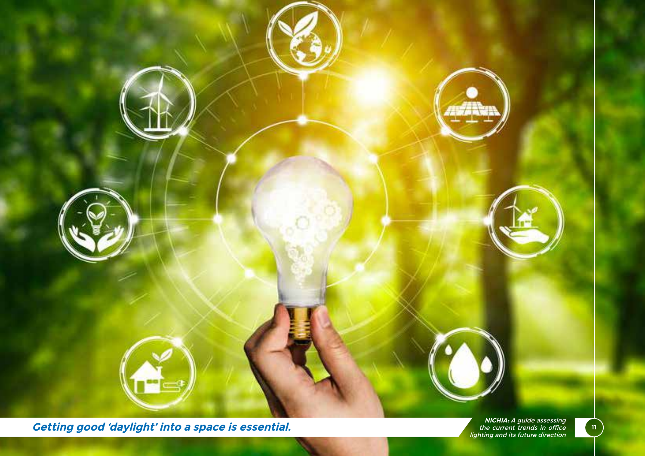

**Getting good 'daylight' into a space is essential.**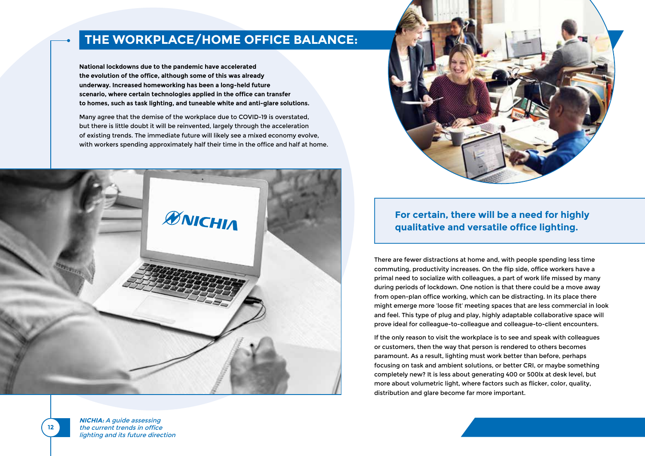## **THE WORKPLACE/HOME OFFICE BALANCE:**

**National lockdowns due to the pandemic have accelerated the evolution of the office, although some of this was already underway. Increased homeworking has been a long-held future scenario, where certain technologies applied in the office can transfer to homes, such as task lighting, and tuneable white and anti-glare solutions.**

Many agree that the demise of the workplace due to COVID-19 is overstated, but there is little doubt it will be reinvented, largely through the acceleration of existing trends. The immediate future will likely see a mixed economy evolve, with workers spending approximately half their time in the office and half at home.





#### **For certain, there will be a need for highly qualitative and versatile office lighting.**

There are fewer distractions at home and, with people spending less time commuting, productivity increases. On the flip side, office workers have a primal need to socialize with colleagues, a part of work life missed by many during periods of lockdown. One notion is that there could be a move away from open-plan office working, which can be distracting. In its place there might emerge more 'loose fit' meeting spaces that are less commercial in look and feel. This type of plug and play, highly adaptable collaborative space will prove ideal for colleague-to-colleague and colleague-to-client encounters.

If the only reason to visit the workplace is to see and speak with colleagues or customers, then the way that person is rendered to others becomes paramount. As a result, lighting must work better than before, perhaps focusing on task and ambient solutions, or better CRI, or maybe something completely new? It is less about generating 400 or 500lx at desk level, but more about volumetric light, where factors such as flicker, color, quality, distribution and glare become far more important.

**NICHIA:** A guide assessing the current trends in office lighting and its future direction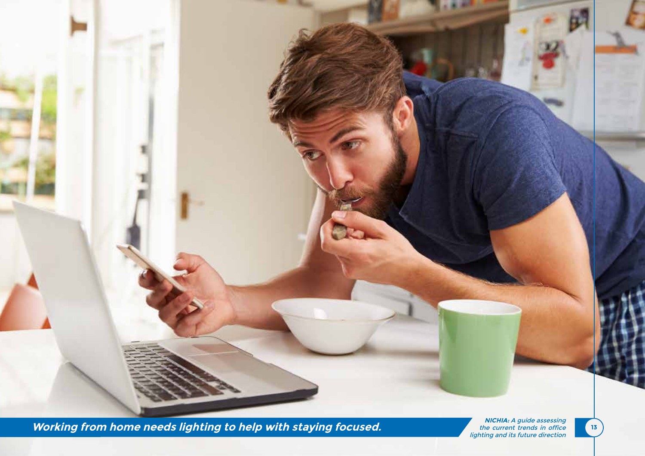**Working from home needs lighting to help with staying focused.**

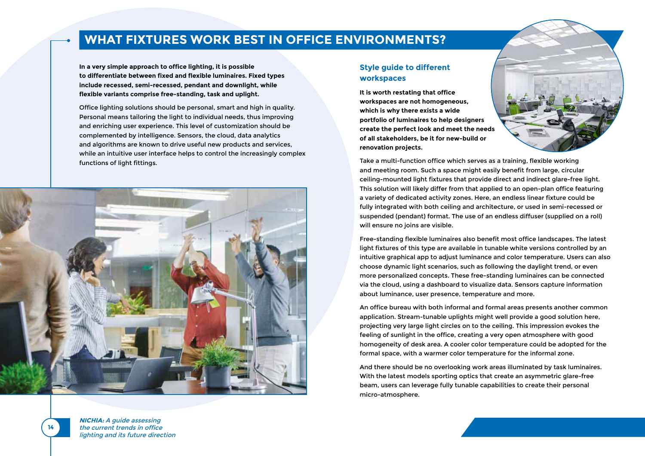### **WHAT FIXTURES WORK BEST IN OFFICE ENVIRONMENTS?**

**In a very simple approach to office lighting, it is possible to differentiate between fixed and flexible luminaires. Fixed types include recessed, semi-recessed, pendant and downlight, while flexible variants comprise free-standing, task and uplight.**

Office lighting solutions should be personal, smart and high in quality. Personal means tailoring the light to individual needs, thus improving and enriching user experience. This level of customization should be complemented by intelligence. Sensors, the cloud, data analytics and algorithms are known to drive useful new products and services, while an intuitive user interface helps to control the increasingly complex functions of light fittings.



#### **Style guide to different workspaces**

**It is worth restating that office workspaces are not homogeneous, which is why there exists a wide portfolio of luminaires to help designers create the perfect look and meet the needs of all stakeholders, be it for new-build or renovation projects.**



Take a multi-function office which serves as a training, flexible working and meeting room. Such a space might easily benefit from large, circular ceiling-mounted light fixtures that provide direct and indirect glare-free light. This solution will likely differ from that applied to an open-plan office featuring a variety of dedicated activity zones. Here, an endless linear fixture could be fully integrated with both ceiling and architecture, or used in semi-recessed or suspended (pendant) format. The use of an endless diffuser (supplied on a roll) will ensure no joins are visible.

Free-standing flexible luminaires also benefit most office landscapes. The latest light fixtures of this type are available in tunable white versions controlled by an intuitive graphical app to adjust luminance and color temperature. Users can also choose dynamic light scenarios, such as following the daylight trend, or even more personalized concepts. These free-standing luminaires can be connected via the cloud, using a dashboard to visualize data. Sensors capture information about luminance, user presence, temperature and more.

An office bureau with both informal and formal areas presents another common application. Stream-tunable uplights might well provide a good solution here, projecting very large light circles on to the ceiling. This impression evokes the feeling of sunlight in the office, creating a very open atmosphere with good homogeneity of desk area. A cooler color temperature could be adopted for the formal space, with a warmer color temperature for the informal zone.

And there should be no overlooking work areas illuminated by task luminaires. With the latest models sporting optics that create an asymmetric glare-free beam, users can leverage fully tunable capabilities to create their personal micro-atmosphere.

**NICHIA:** A guide assessing the current trends in office lighting and its future direction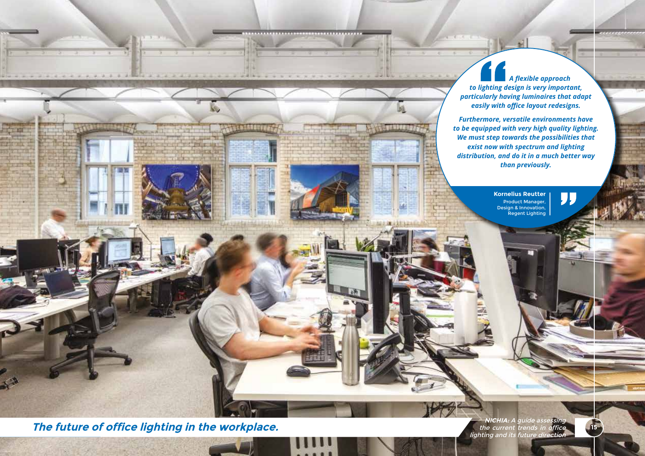*A flexible approach to lighting design is very important, particularly having luminaires that adapt easily with office layout redesigns.* 

*Furthermore, versatile environments have to be equipped with very high quality lighting. We must step towards the possibilities that exist now with spectrum and lighting distribution, and do it in a much better way than previously.*

**MARGES** 

**Kornelius Reutter** Product Manager, Design & Innovation, Regent Lighting

"

**The future of office lighting in the workplace.**

**Kanadarrees** 

**NICHIA:** A guide assessing the current trends in office lighting and its future direction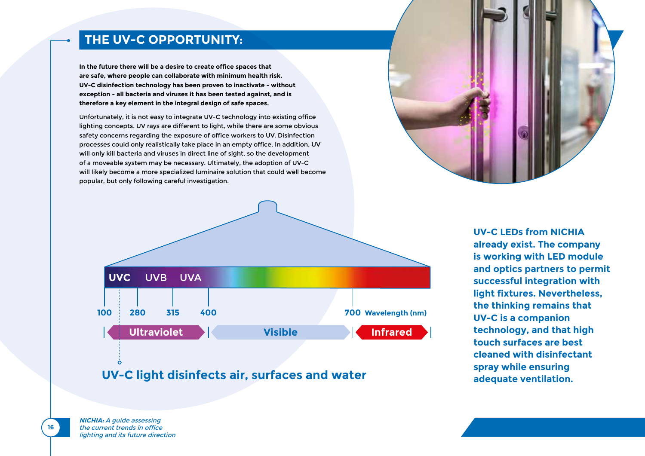#### **THE UV-C OPPORTUNITY:**

**In the future there will be a desire to create office spaces that are safe, where people can collaborate with minimum health risk. UV-C disinfection technology has been proven to inactivate - without exception - all bacteria and viruses it has been tested against, and is therefore a key element in the integral design of safe spaces.**

Unfortunately, it is not easy to integrate UV-C technology into existing office lighting concepts. UV rays are different to light, while there are some obvious safety concerns regarding the exposure of office workers to UV. Disinfection processes could only realistically take place in an empty office. In addition, UV will only kill bacteria and viruses in direct line of sight, so the development of a moveable system may be necessary. Ultimately, the adoption of UV-C will likely become a more specialized luminaire solution that could well become popular, but only following careful investigation.





#### **UV-C light disinfects air, surfaces and water**

**UV-C LEDs from NICHIA already exist. The company is working with LED module and optics partners to permit successful integration with light fixtures. Nevertheless, the thinking remains that UV-C is a companion technology, and that high touch surfaces are best cleaned with disinfectant spray while ensuring adequate ventilation.** 

**NICHIA:** A guide assessing the current trends in office lighting and its future direction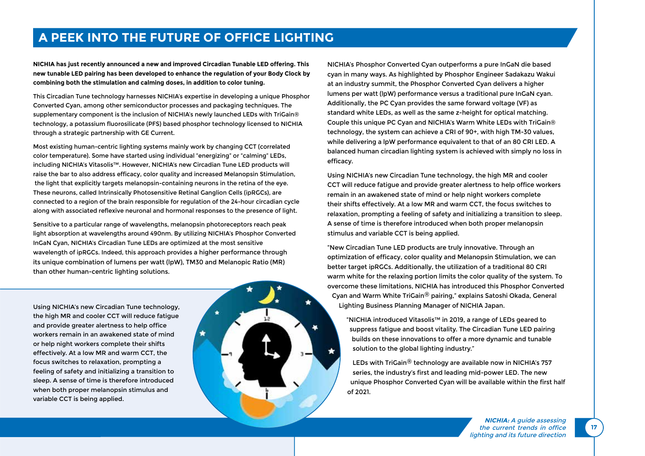### **A PEEK INTO THE FUTURE OF OFFICE LIGHTING**

**NICHIA has just recently announced a new and improved Circadian Tunable LED offering. This new tunable LED pairing has been developed to enhance the regulation of your Body Clock by combining both the stimulation and calming doses, in addition to color tuning.**

This Circadian Tune technology harnesses NICHIA's expertise in developing a unique Phosphor Converted Cyan, among other semiconductor processes and packaging techniques. The supplementary component is the inclusion of NICHIA's newly launched LEDs with TriGain® technology, a potassium fluorosilicate (PFS) based phosphor technology licensed to NICHIA through a strategic partnership with GE Current.

Most existing human-centric lighting systems mainly work by changing CCT (correlated color temperature). Some have started using individual "energizing" or "calming" LEDs, including NICHIA's Vitasolis™. However, NICHIA's new Circadian Tune LED products will raise the bar to also address efficacy, color quality and increased Melanopsin Stimulation, the light that explicitly targets melanopsin-containing neurons in the retina of the eye. These neurons, called Intrinsically Photosensitive Retinal Ganglion Cells (ipRGCs), are connected to a region of the brain responsible for regulation of the 24-hour circadian cycle along with associated reflexive neuronal and hormonal responses to the presence of light.

Sensitive to a particular range of wavelengths, melanopsin photoreceptors reach peak light absorption at wavelengths around 490nm. By utilizing NICHIA's Phosphor Converted InGaN Cyan, NICHIA's Circadian Tune LEDs are optimized at the most sensitive wavelength of ipRGCs. Indeed, this approach provides a higher performance through its unique combination of lumens per watt (lpW), TM30 and Melanopic Ratio (MR) than other human-centric lighting solutions.

Using NICHIA's new Circadian Tune technology, the high MR and cooler CCT will reduce fatigue and provide greater alertness to help office workers remain in an awakened state of mind or help night workers complete their shifts effectively. At a low MR and warm CCT, the focus switches to relaxation, prompting a feeling of safety and initializing a transition to sleep. A sense of time is therefore introduced when both proper melanopsin stimulus and variable CCT is being applied.



NICHIA's Phosphor Converted Cyan outperforms a pure InGaN die based cyan in many ways. As highlighted by Phosphor Engineer Sadakazu Wakui at an industry summit, the Phosphor Converted Cyan delivers a higher lumens per watt (lpW) performance versus a traditional pure InGaN cyan. Additionally, the PC Cyan provides the same forward voltage (VF) as standard white LEDs, as well as the same z-height for optical matching. Couple this unique PC Cyan and NICHIA's Warm White LEDs with TriGain® technology, the system can achieve a CRI of 90+, with high TM-30 values, while delivering a lpW performance equivalent to that of an 80 CRI LED. A balanced human circadian lighting system is achieved with simply no loss in efficacy.

Using NICHIA's new Circadian Tune technology, the high MR and cooler CCT will reduce fatigue and provide greater alertness to help office workers remain in an awakened state of mind or help night workers complete their shifts effectively. At a low MR and warm CCT, the focus switches to relaxation, prompting a feeling of safety and initializing a transition to sleep. A sense of time is therefore introduced when both proper melanopsin stimulus and variable CCT is being applied.

"New Circadian Tune LED products are truly innovative. Through an optimization of efficacy, color quality and Melanopsin Stimulation, we can better target ipRGCs. Additionally, the utilization of a traditional 80 CRI warm white for the relaxing portion limits the color quality of the system. To overcome these limitations, NICHIA has introduced this Phosphor Converted Cyan and Warm White TriGain® pairing," explains Satoshi Okada, General Lighting Business Planning Manager of NICHIA Japan.

"NICHIA introduced Vitasolis™ in 2019, a range of LEDs geared to suppress fatigue and boost vitality. The Circadian Tune LED pairing builds on these innovations to offer a more dynamic and tunable solution to the global lighting industry."

LEDs with TriGain® technology are available now in NICHIA's 757 series, the industry's first and leading mid-power LED. The new unique Phosphor Converted Cyan will be available within the first half of 2021.